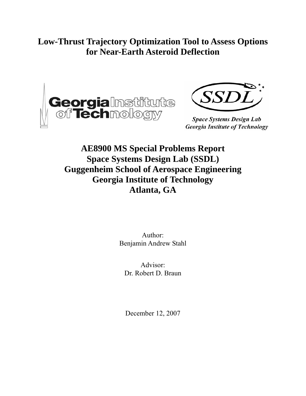**Low-Thrust Trajectory Optimization Tool to Assess Options for Near-Earth Asteroid Deflection** 





**Space Systems Design Lab Georgia Institute of Technology** 

# **AE8900 MS Special Problems Report Space Systems Design Lab (SSDL) Guggenheim School of Aerospace Engineering Georgia Institute of Technology Atlanta, GA**

Author: Benjamin Andrew Stahl

Advisor: Dr. Robert D. Braun

December 12, 2007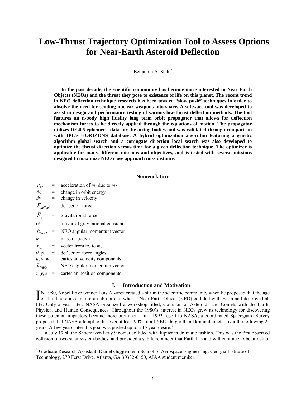## **Low-Thrust Trajectory Optimization Tool to Assess Options for Near-Earth Asteroid Deflection**

## Benjamin A. Stah[l\\*](#page-1-0)

**In the past decade, the scientific community has become more interested in Near Earth Objects (NEOs) and the threat they pose to existence of life on this planet. The recent trend in NEO deflection technique research has been toward "slow push" techniques in order to absolve the need for sending nuclear weapons into space. A software tool was developed to assist in design and performance testing of various low-thrust deflection methods. The tool features an n-body high fidelity long term orbit propagator that allows for deflection mechanism forces to be directly applied through the equations of motion. The propagator utilizes DE405 ephemeris data for the acting bodies and was validated through comparison with JPL's HORIZONS database. A hybrid optimization algorithm featuring a genetic algorithm global search and a conjugate direction local search was also developed to optimize the thrust direction versus time for a given deflection technique. The optimizer is applicable for many different missions and objectives, and is tested with several missions designed to maximize NEO close approach miss distance.** 

## **Nomenclature**

 $\vec{a}_{12}$ acceleration of  $m_1$  due to  $m_2$ *∆ε* = change in orbit energy *∆v* = change in velocity  $\vec{F}_{\textit{deflect}}$  = deflection force  $\vec{F}_g$  $=$  gravitational force *G* = universal gravitational constant  $\bar{h}_{\scriptscriptstyle NEO}$ = NEO angular momentum vector  $m_i$  = mass of body i  $\vec{r}_{12}$  $=$  vector from  $m_1$  to  $m_2$  $\theta$ *,*  $\varphi$  = deflection force angles  $u, v, w =$  cartesian velocity components  $\bar{v}_{NEO}$  = NEO angular momentum vector  $x, y, z$  = cartesian position components

## **I. Introduction and Motivation**

N 1980, Nobel Prize winner Luis Alvarez created a stir in the scientific community when he proposed that the age IN 1980, Nobel Prize winner Luis Alvarez created a stir in the scientific community when he proposed that the age<br>of the dinosaurs came to an abrupt end when a Near-Earth Object (NEO) collided with Earth and destroyed all life. Only a year later, NASA organized a workshop titled, Collision of Asteroids and Comets with the Earth: Physical and Human Consequences. Throughout the 1980's, interest in NEOs grew as technology for discovering these potential impactors became more prominent. In a 1992 report to NASA, a coordinated Spaceguard Survey proposed that NASA attempt to discover at least 90% of all NEOs larger than 1km in diameter over the following 25 years. A few years later this goal was pushed up to a [1](#page-15-0)5 year desire.<sup>1</sup>

In July 1994, the Shoemaker-Levy 9 comet collided with Jupiter in dramatic fashion. This was the first observed collision of two solar system bodies, and provided a subtle reminder that Earth has and will continue to be at risk of

<span id="page-1-0"></span> <sup>\*</sup> Graduate Research Assistant, Daniel Guggenheim School of Aerospace Engineering, Georgia Institute of Technology, 270 Ferst Drive, Atlanta, GA 30332-0150, AIAA student member.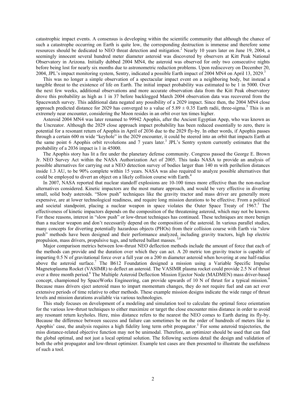catastrophic impact events. A consensus is developing within the scientific community that although the chance of such a catastrophe occurring on Earth is quite low, the corresponding destruction is immense and therefore some resources should be dedicated to NEO threat detection and mitigation.<sup>[2](#page-15-1)</sup> Nearly 10 years later on June 19, 2004, a seemingly innocent several hundred meter diameter asteroid was discovered by observers at Kitt Peak National Observatory in Arizona. Initially dubbed 2004 MN4, the asteroid was observed for only two consecutive nights before being lost for nearly six months due to astronometric reduction problems. Upon rediscovery on December 20, 2004,JPL's impact monitoring system, Sentry, indicated a possible Earth impact of 2004 MN4 on April 13, 2029.<sup>3</sup>

This was no longer a simple observation of a spectacular impact event on a neighboring body, but instead a tangible threat to the existence of life on Earth. The initial impact probability was estimated to be 1 in 5000. Over the next few weeks, additional observations and more accurate observation data from the Kitt Peak observatory drove this probability as high as 1 in 37 before backlogged March 2004 observation data was recovered from the Spacewatch survey. This additional data negated any possibility of a 2029 impact. Since then, the 2004 MN4 close approach predicted distance for 2029 has converged to a value of  $5.89 \pm 0.35$  Earth radii, three-sigma.<sup>3</sup> [T](#page-15-2)his is an extremely near encounter, considering the Moon resides in an orbit over ten times higher.

Asteroid 2004 MN4 was later renamed to 99942 Apophis, after the Ancient Egyptian Apep, who was known as the Uncreator. Although the 2029 close approach impact probability has been reduced essentially to zero, there is potential for a resonant return of Apophis in April of 2036 due to the 2029 fly-by. In other words, if Apophis passes through a certain 600 m wide "keyhole" in the 2029 encounter, it could be steered into an orbit that impacts Earth at thesame point 6 Apophis orbit revolutions and 7 years later.<sup>3</sup> JPL's Sentry system currently estimates that the probability of a 2036 impact is 1 in 45000.

The Apophis story has lit a fire under the planetary defense community. Congress passed the George E. Brown Jr. NEO Survey Act within the NASA Authorization Act of 2005. This tasks NASA to provide an analysis of possible alternatives for carrying out a NEO detection survey of bodies larger than 140 m with perihelion distances inside 1.3 AU, to be 90% complete within 15 years. NASA was also required to analyze possible alternatives that could be employed to divert an object on a likely collision course with Earth. 4 

In 2007, NASA reported that nuclear standoff explosions are 10-100 times more effective than the non-nuclear alternatives considered. Kinetic impactors are the most mature approach, and would be very effective in diverting small, solid body asteroids. "Slow push" techniques like the gravity tractor and mass driver are generally more expensive, are at lower technological readiness, and require long mission durations to be effective. From a political andsocietal standpoint, placing a nuclear weapon in space violates the Outer Space Treaty of  $1967$ .<sup>5</sup> The effectiveness of kinetic impactors depends on the composition of the threatening asteroid, which may not be known. For these reasons, interest in "slow push" or low-thrust techniques has continued. These techniques are more benign than a nuclear weapon and don't necessarily depend on the composition of the asteroid. In various parallel studies, many concepts for diverting potentially hazardous objects (PHOs) from their collision course with Earth via "slow push" methods have been designed and their performance analyzed, including gravity tractors, high Isp electric propulsion, mass drivers, propulsive tugs, and tethered ballast masses.<sup>[5,](#page-15-4)6</sup>

Major comparison metrics between low-thrust NEO deflection methods include the amount of force that each of the methods can provide and the duration over which they can act. A 20 metric ton gravity tractor is capable of imparting 0.5 N of gravitational force over a full year on a 200 m diameter asteroid when hovering at one half-radius above the asteroid surface.<sup>7</sup> The B612 Foundation designed a mission using a Variable Specific Impulse Magnetoplasma Rocket (VASIMR) to deflect an asteroid. The VASIMR plasma rocket could provide 2.5 N of thrust over a three month period.<sup>8</sup> [T](#page-15-7)he Multiple Asteroid Deflection Mission Ejector Node (MADMEN) mass driver-based concept, championed by SpaceWorks Engineering, can provide upwards of 10 N of thrust for a typical mission.<sup>[9](#page-15-8)</sup> Because mass drivers eject asteroid mass to impart momentum changes, they do not require fuel and can act over extensive periods of time relative to other methods. These example mission designs indicate the wide range of thrust levels and mission durations available via various technologies.

This study focuses on development of a modeling and simulation tool to calculate the optimal force orientation for the various low-thrust techniques to either maximize or target the close encounter miss distance in order to avoid any resonant return keyholes. Here, miss distance refers to the nearest the NEO comes to Earth during its fly-by. Because the difference between success and failure can sometimes be on the order of hundreds of meters like in Apophis' case, the analysis requires a high fidelity long term orbit propagator.<sup>3</sup> [F](#page-15-2)or some asteroid trajectories, the miss distance-related objective function may not be unimodal. Therefore, an optimizer should be used that can find the global optimal, and not just a local optimal solution. The following sections detail the design and validation of both the orbit propagator and low-thrust optimizer. Example test cases are then presented to illustrate the usefulness of such a tool.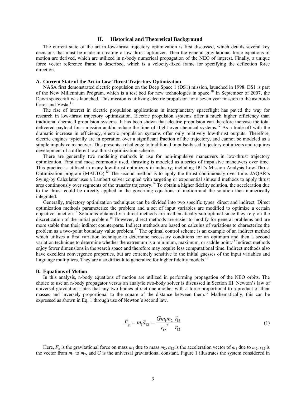#### <span id="page-3-1"></span>**II. Historical and Theoretical Background**

<span id="page-3-0"></span>The current state of the art in low-thrust trajectory optimization is first discussed, which details several key decisions that must be made in creating a low-thrust optimizer. Then the general gravitational force equations of motion are derived, which are utilized in n-body numerical propagation of the NEO of interest. Finally, a unique force vector reference frame is described, which is a velocity-fixed frame for specifying the deflection force direction.

#### **A. Current State of the Art in Low-Thrust Trajectory Optimization**

NASA first demonstrated electric propulsion on the Deep Space 1 (DS1) mission, launched in 1998. DS1 is part of the New Millennium Program, which is a test bed for new technologies in space.[10](#page-15-9) In September of 2007, the Dawn spacecraft was launched. This mission is utilizing electric propulsion for a seven year mission to the asteroids Ceres and Vesta.<sup>11</sup>

The rise of interest in electric propulsion applications in interplanetary spaceflight has paved the way for research in low-thrust trajectory optimization. Electric propulsion systems offer a much higher efficiency than traditional chemical propulsion systems. It has been shown that electric propulsion can therefore increase the total delivered payload for a mission and/or reduce the time of flight over chemical systems.[12](#page-15-11) As a trade-off with the dramatic increase in efficiency, electric propulsion systems offer only relatively low-thrust outputs. Therefore, electric engines typically are in operation over a significant fraction of the trajectory, and cannot be modeled as a simple impulsive maneuver. This presents a challenge to traditional impulse-based trajectory optimizers and requires development of a different low-thrust optimization scheme.

There are generally two modeling methods in use for non-impulsive maneuvers in low-thrust trajectory optimization. First and most commonly used, thrusting is modeled as a series of impulsive maneuvers over time. This practice is utilized in many low-thrust optimizers in industry, including JPL's Mission Analysis Low-Thrust Optimization program (MALTO).[13](#page-15-12) The second method is to apply the thrust continuously over time. JAQAR's Swing-by Calculator uses a Lambert solver coupled with targeting or exponential sinusoid methods to apply thrust arcs continuously over segments of the transfer trajectory.<sup>14</sup> To obtain a higher fidelity solution, the acceleration due to the thrust could be directly applied in the governing equations of motion and the solution then numerically integrated.

Generally, trajectory optimization techniques can be divided into two specific types: direct and indirect. Direct optimization methods parameterize the problem and a set of input variables are modified to optimize a certain objective function.[12](#page-15-11) Solutions obtained via direct methods are mathematically sub-optimal since they rely on the discretization of the initial problem.<sup>15</sup> However, direct methods are easier to modify for general problems and are more stable than their indirect counterparts. Indirect methods are based on calculus of variations to characterize the problem as a two-point boundary value problem.<sup>12</sup> The optimal control scheme is an example of an indirect method which utilizes a first variation technique to determine necessary conditions for an optimum and then a second variation technique to determine whether the extremum is a minimum, maximum, or saddle point.<sup>15</sup> Indirect methods enjoy fewer dimensions in the search space and therefore may require less computational time. Indirect methods also have excellent convergence properties, but are extremely sensitive to the initial guesses of the input variables and Lagrange multipliers. They are also difficult to generalize for higher fidelity models.<sup>16</sup>

#### **B. Equations of Motion**

In this analysis, n-body equations of motion are utilized in performing propagation of the NEO orbits. The choice to use an n-body propagator versus an analytic two-body solver is discussed in Section [III.](#page-5-0) Newton's law of universal gravitation states that any two bodies attract one another with a force proportional to a product of their masses and inversely proportional to the square of the distance between them.<sup>17</sup> Mathematically, this can be expressed as shown in Eq. [1](#page-3-0) through use of Newton's second law.

$$
\vec{F}_g = m_1 \vec{a}_{12} = \frac{Gm_1m_2}{r_{12}^2} \frac{\vec{r}_{12}}{r_{12}}
$$
 (1)

Here,  $F_g$  is the gravitational force on mass  $m_1$  due to mass  $m_2$ ,  $a_{12}$  is the acceleration vector of  $m_1$  due to  $m_2$ ,  $r_{12}$  is the vector from  $m_1$  to  $m_2$ , and  $G$  is the universal gravitational constant. [Figure 1 i](#page-4-0)llustrates the system considered in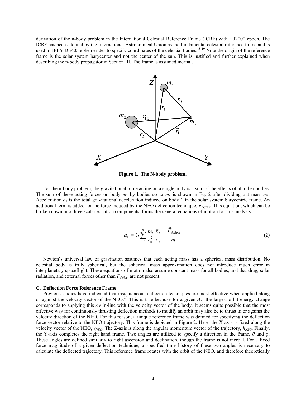<span id="page-4-1"></span>derivation of the n-body problem in the International Celestial Reference Frame (ICRF) with a J2000 epoch. The ICRF has been adopted by the International Astronomical Union as the fundamental celestial reference frame and is used in JPL's DE405 ephemerides to specify coordinates of the celestial bodies.<sup>[18-](#page-15-17)19</sup> Note the origin of the reference frame is the solar system barycenter and not the center of the sun. This is justified and further explained when describing the n-body propagator in Section [III.](#page-5-0) The frame is assumed inertial.

<span id="page-4-0"></span>

**Figure 1. The N-body problem.** 

For the n-body problem, the gravitational force acting on a single body is a sum of the effects of all other bodies. The sum of these acting forces on body  $m_1$  by bodies  $m_2$  $m_2$  to  $m_n$  is shown in Eq. 2 after dividing out mass  $m_1$ . Acceleration  $a_1$  is the total gravitational acceleration induced on body 1 in the solar system barycentric frame. An additional term is added for the force induced by the NEO deflection technique,  $F_{deflect}$ . This equation, which can be broken down into three scalar equation components, forms the general equations of motion for this analysis.

$$
\vec{a}_1 = G \sum_{i=2}^n \frac{m_i}{r_{1i}^2} \frac{\vec{r}_{1i}}{r_{1i}} + \frac{\vec{F}_{deflect}}{m_1}
$$
 (2)

Newton's universal law of gravitation assumes that each acting mass has a spherical mass distribution. No celestial body is truly spherical, but the spherical mass approximation does not introduce much error in interplanetary spaceflight. These equations of motion also assume constant mass for all bodies, and that drag, solar radiation, and external forces other than  $F_{deflect}$  are not present.

#### **C. Deflection Force Reference Frame**

Previous studies have indicated that instantaneous deflection techniques are most effective when applied along or against the velocity vector of the NEO.<sup>20</sup> This is true because for a given  $\Delta v$ , the largest orbit energy change corresponds to applying this *∆v* in-line with the velocity vector of the body. It seems quite possible that the most effective way for continuously thrusting deflection methods to modify an orbit may also be to thrust in or against the velocity direction of the NEO. For this reason, a unique reference frame was defined for specifying the deflection force vector relative to the NEO trajectory. This frame is depicted in [Figure 2.](#page-5-1) Here, the X-axis is fixed along the velocity vector of the NEO,  $v_{NEO}$ . The Z-axis is along the angular momentum vector of the trajectory,  $h_{NEO}$ . Finally, the Y-axis completes the right hand frame. Two angles are utilized to specify a direction in the frame, *θ* and *φ*. These angles are defined similarly to right ascension and declination, though the frame is not inertial. For a fixed force magnitude of a given deflection technique, a specified time history of these two angles is necessary to calculate the deflected trajectory. This reference frame rotates with the orbit of the NEO, and therefore theoretically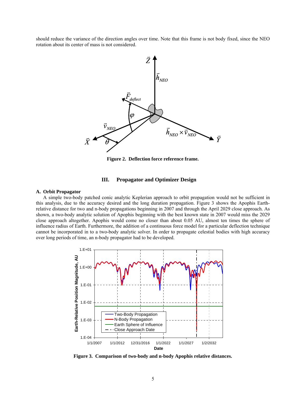should reduce the variance of the direction angles over time. Note that this frame is not body fixed, since the NEO rotation about its center of mass is not considered.

<span id="page-5-1"></span>

**Figure 2. Deflection force reference frame.**

## <span id="page-5-0"></span>**III. Propagator and Optimizer Design**

#### **A. Orbit Propagator**

A simple two-body patched conic analytic Keplerian approach to orbit propagation would not be sufficient in this analysis, due to the accuracy desired and the long duration propagation. [Figure 3](#page-5-2) shows the Apophis Earthrelative distance for two and n-body propagations beginning in 2007 and through the April 2029 close approach. As shown, a two-body analytic solution of Apophis beginning with the best known state in 2007 would miss the 2029 close approach altogether. Apophis would come no closer than about 0.05 AU, almost ten times the sphere of influence radius of Earth. Furthermore, the addition of a continuous force model for a particular deflection technique cannot be incorporated in to a two-body analytic solver. In order to propagate celestial bodies with high accuracy over long periods of time, an n-body propagator had to be developed.

<span id="page-5-2"></span>

**Figure 3. Comparison of two-body and n-body Apophis relative distances.**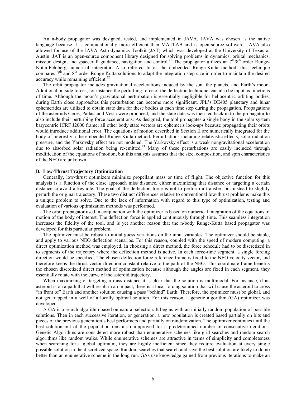An n-body propagator was designed, tested, and implemented in JAVA. JAVA was chosen as the native language because it is computationally more efficient than MATLAB and is open-source software. JAVA also allowed for use of the JAVA Astrodynamics Toolkit (JAT) which was developed at the University of Texas at Austin. JAT is an open-source component library designed for solving problems in dynamics, orbital mechanics, mission design, and spacecraft guidance, navigation and control.<sup>21</sup> The propagator utilizes an  $7<sup>th</sup>/8<sup>th</sup>$  order Runge-Kutta-Fehlberg numerical integrator. Also referred to as the embedded Runge-Kutta method, this technique compares  $7<sup>th</sup>$  and  $8<sup>th</sup>$  order Runge-Kutta solutions to adapt the integration step size in order to maintain the desired accuracy while remaining efficient.<sup>22</sup>

The orbit propagator includes gravitational accelerations induced by the sun, the planets, and Earth's moon. Additional outside forces, for instance the perturbing force of the deflection technique, can also be input as functions of time. Although the moon's gravitational perturbation is essentially negligible for heliocentric orbiting bodies, during Earth close approaches this perturbation can become more significant. JPL's DE405 planetary and lunar ephemerides are utilized to obtain state data for these bodies at each time step during the propagation. Propagations of the asteroids Ceres, Pallas, and Vesta were produced, and the state data was then fed back in to the propagator to also include their perturbing force accelerations. As designed, the tool propagates a single body in the solar system barycentric ICRF J2000 frame; all other body state vectors are ephemeris look-ups because propagating their orbits would introduce additional error. The equations of motion described in Section [II a](#page-3-1)re numerically integrated for the body of interest via the embedded Runge-Kutta method. Perturbations including relativistic effects, solar radiation pressure, and the Yarkovsky effect are not modeled. The Yarkovsky effect is a weak nongravitational acceleration due to absorbed solar radiation being re-emitted.<sup>23</sup> Many of these perturbations are easily included through modification of the equations of motion, but this analysis assumes that the size, composition, and spin characteristics of the NEO are unknown.

#### **B. Low-Thrust Trajectory Optimization**

Generally, low-thrust optimizers minimize propellant mass or time of flight. The objective function for this analysis is a function of the close approach miss distance, either maximizing that distance or targeting a certain distance to avoid a keyhole. The goal of the deflection force is not to perform a transfer, but instead to slightly perturb the original trajectory. These two distinct differences relative to conventional low-thrust problems make this a unique problem to solve. Due to the lack of information with regard to this type of optimization, testing and evaluation of various optimization methods was performed.

The orbit propagator used in conjunction with the optimizer is based on numerical integration of the equations of motion of the body of interest. The deflection force is applied continuously through time. This seamless integration increases the fidelity of the tool, and is yet another reason that the n-body Runge-Kutta based propagator was developed for this particular problem.

The optimizer must be robust to initial guess variations on the input variables. The optimizer should be stable, and apply to various NEO deflection scenarios. For this reason, coupled with the speed of modern computing, a direct optimization method was employed. In choosing a direct method, the force schedule had to be discretized in to segments of the trajectory where the deflection method is active. In each force-time segment, a single forcing direction would be specified. The chosen deflection force reference frame is fixed to the NEO velocity vector, and therefore keeps the thrust vector direction constant relative to the path of the NEO. This coordinate frame benefits the chosen discretized direct method of optimization because although the angles are fixed in each segment, they essentially rotate with the curve of the asteroid trajectory.

When maximizing or targeting a miss distance it is clear that the solution is multimodal. For instance, if an asteroid is on a path that will result in an impact, there is a local forcing solution that will cause the asteroid to cross "in front of" Earth and another solution causing a pass "behind" Earth. Therefore, the optimizer must be global, and not get trapped in a well of a locally optimal solution. For this reason, a genetic algorithm (GA) optimizer was developed.

A GA is a search algorithm based on natural selection. It begins with an initially random population of possible solutions. Then in each successive iteration, or generation, a new population is created based partially on bits and pieces of the previous generation's best performers and partially on randomization. The optimizer continues until the best solution out of the population remains unimproved for a predetermined number of consecutive iterations. Genetic Algorithms are considered more robust than enumerative schemes like grid searches and random search algorithms like random walks. While enumerative schemes are attractive in terms of simplicity and completeness when searching for a global optimum, they are highly inefficient since they require evaluation at every single possible solution in the discretized space. Random searches that search and save the best solution are likely to do no better than an enumerative scheme in the long run. GAs use knowledge gained from previous iterations to make an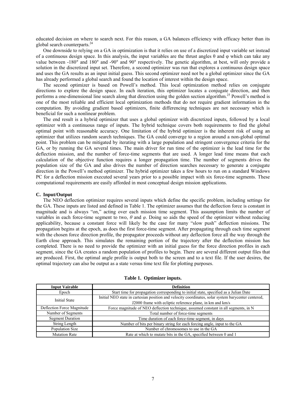educated decision on where to search next. For this reason, a GA balances efficiency with efficacy better than its global search counterparts. [24](#page-15-23) 

One downside to relying on a GA in optimization is that it relies on use of a discretized input variable set instead of a continuous design space. In this analysis, the input variables are the thrust angles  $\theta$  and  $\phi$  which can take any value between -180° and 180° and -90° and 90° respectively. The genetic algorithm, at best, will only provide a solution in the discretized input set. Therefore, a second optimizer was run that explores a continuous design space and uses the GA results as an input initial guess. This second optimizer need not be a global optimizer since the GA has already performed a global search and found the location of interest within the design space.

The second optimizer is based on Powell's method. This local optimization method relies on conjugate directions to explore the design space. In each iteration, this optimizer locates a conjugate direction, and then performs a one-dimensional line search along that direction using the golden section algorithm. [25](#page-15-24) Powell's method is one of the most reliable and efficient local optimization methods that do not require gradient information in the computation. By avoiding gradient based optimizers, finite differencing techniques are not necessary which is beneficial for such a nonlinear problem.

The end result is a hybrid optimizer that uses a global optimizer with discretized inputs, followed by a local optimizer with a continuous range of inputs. The hybrid technique covers both requirements to find the global optimal point with reasonable accuracy. One limitation of the hybrid optimizer is the inherent risk of using an optimizer that utilizes random search techniques. The GA could converge to a region around a non-global optimal point. This problem can be mitigated by iterating with a large population and stringent convergence criteria for the GA, or by running the GA several times. The main driver for run time of the optimizer is the lead time for the deflection mission, and the number of force-time segments that are used. A longer lead time means that each calculation of the objective function requires a longer propagation time. The number of segments drives the population size of the GA and also drives the number of direction searches necessary to generate a conjugate direction in the Powell's method optimizer. The hybrid optimizer takes a few hours to run on a standard Windows PC for a deflection mission executed several years prior to a possible impact with six force-time segments. These computational requirements are easily afforded in most conceptual design mission applications.

## **C. Input/Output**

The NEO deflection optimizer requires several inputs which define the specific problem, including settings for the GA. These inputs are listed and defined in [Table 1.](#page-7-0) The optimizer assumes that the deflection force is constant in magnitude and is always "on," acting over each mission time segment. This assumption limits the number of variables in each force-time segment to two,  $\theta$  and  $\varphi$ . Doing so aids the speed of the optimizer without reducing applicability, because a constant force will likely be the case for many "slow push" deflection missions. The propagation begins at the epoch, as does the first force-time segment. After propagating through each time segment with the chosen force direction profile, the propagator proceeds without any deflection force all the way through the Earth close approach. This simulates the remaining portion of the trajectory after the deflection mission has completed. There is no need to provide the optimizer with an initial guess for the force direction profiles in each segment, since the GA creates a random population of profiles to begin. There are several different output files that are produced. First, the optimal angle profile is output both to the screen and to a text file. If the user desires, the optimal trajectory can also be output as a state versus time text file for plotting purposes.

| <b>Definition</b><br><b>Input Vairable</b>                                                |                                                                                                     |
|-------------------------------------------------------------------------------------------|-----------------------------------------------------------------------------------------------------|
| Epoch                                                                                     | Start time for propagation corresponding to initial state, specified as a Julian Date               |
| Initial State                                                                             | Initial NEO state in cartesian position and velocity coordinates, solar system barycenter centered, |
|                                                                                           | J2000 frame with ecliptic reference plane, in km and km/s                                           |
| Deflection Force Magnitude                                                                | Force magnitude of NEO deflection technique, assumed constant in all segments, in N                 |
| Number of Segments                                                                        | Total number of force-time segments                                                                 |
| <b>Segment Duration</b>                                                                   | Time duration of each force-time segment, in days                                                   |
| String Length                                                                             | Number of bits per binary string for each forcing angle, input to the GA                            |
| Population Size<br>Number of chromosomes to use in the GA                                 |                                                                                                     |
| <b>Mutation Rate</b><br>Rate at which to mutate bits in the GA, specified between 0 and 1 |                                                                                                     |

<span id="page-7-0"></span>**Table 1. Optimizer inputs.**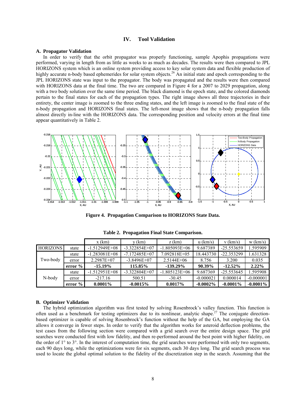## **IV. Tool Validation**

#### **A. Propagator Validation**

In order to verify that the orbit propagator was properly functioning, sample Apophis propagations were performed, varying in length from as little as weeks to as much as decades. The results were then compared to JPL HORIZONS system which is an online system providing access to key solar system data and flexible production of highly accurate n-body based ephemerides for solar system objects.<sup>26</sup> An initial state and epoch corresponding to the JPL HORIZONS state was input to the propagator. The body was propagated and the results were then compared with HORIZONS data at the final time. The two are compared in [Figure 4](#page-8-0) for a 2007 to 2029 propagation, along with a two body solution over the same time period. The black diamond is the epoch state, and the colored diamonds pertain to the final states for each of the propagation types. The right image shows all three trajectories in their entirety, the center image is zoomed to the three ending states, and the left image is zoomed to the final state of the n-body propagation and HORIZONS final states. The left-most image shows that the n-body propagation falls almost directly in-line with the HORIZONS data. The corresponding position and velocity errors at the final time appear quantitatively in [Table 2.](#page-8-1)

<span id="page-8-0"></span>

**Figure 4. Propagation Comparison to HORIZONS State Data.** 

|                 |           | $x$ (km)        | (km)            | $z$ (km)        | $u$ (km/s)  | $v$ (km/s)   | $w$ (km/s)  |
|-----------------|-----------|-----------------|-----------------|-----------------|-------------|--------------|-------------|
| <b>HORIZONS</b> | state     | $-1.512949E+08$ | $-3.322854E+07$ | $-1.805093E+06$ | 9.687389    | $-25.553659$ | 1.595909    |
|                 | state     | $-1.283081E+08$ | $-7.172485E+07$ | 7.092818E+05    | 18.443730   | $-22.353299$ | 1.631328    |
| Two-body        | error     | $2.2987E+07$    | $-3.8496E+07$   | $2.5144E+06$    | 8.756       | 3.200        | 0.035       |
|                 | error $%$ | $-15.19\%$      | 115.85%         | $-139.29\%$     | 90.39%      | $-12.52\%$   | $2.22\%$    |
|                 | state     | $-1.512951E+08$ | $-3.322804E+07$ | $-1.805123E+06$ | 9.687369    | $-25.553645$ | 1.595908    |
| N-body          | error     | $-217.16$       | 500.51          | $-30.45$        | $-0.000021$ | 0.000014     | $-0.000001$ |
|                 | error $%$ | $0.0001\%$      | $-0.0015%$      | $0.0017\%$      | $-0.0002\%$ | $-0.0001\%$  | $-0.0001\%$ |

<span id="page-8-1"></span>**Table 2. Propagation Final State Comparison.** 

#### **B. Optimizer Validation**

The hybrid optimization algorithm was first tested by solving Rosenbrock's valley function. This function is often used as a benchmark for testing optimizers due to its nonlinear, analytic shape.<sup>27</sup> The conjugate directionbased optimizer is capable of solving Rosenbrock's function without the help of the GA, but employing the GA allows it converge in fewer steps. In order to verify that the algorithm works for asteroid deflection problems, the test cases from the following section were compared with a grid search over the entire design space. The grid searches were conducted first with low fidelity, and then re-performed around the best point with higher fidelity, on the order of 1° to 3°. In the interest of computation time, the grid searches were performed with only two segments, each 90 days long, while the optimizations were for six segments, each 30 days long. The grid search process was used to locate the global optimal solution to the fidelity of the discretization step in the search. Assuming that the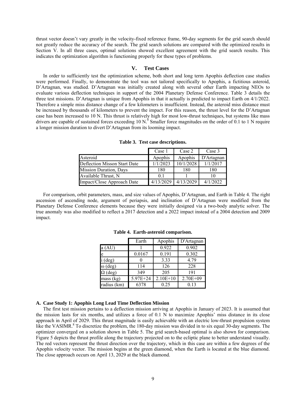thrust vector doesn't vary greatly in the velocity-fixed reference frame, 90-day segments for the grid search should not greatly reduce the accuracy of the search. The grid search solutions are compared with the optimized results in Section [V.](#page-9-0) In all three cases, optimal solutions showed excellent agreement with the grid search results. This indicates the optimization algorithm is functioning properly for these types of problems.

## <span id="page-9-0"></span>**V. Test Cases**

In order to sufficiently test the optimization scheme, both short and long term Apophis deflection case studies were performed. Finally, to demonstrate the tool was not tailored specifically to Apophis, a fictitious asteroid, D'Artagnan, was studied. D'Artagnan was initially created along with several other Earth impacting NEOs to evaluate various deflection techniques in support of the 2004 Planetary Defense Conference. [Table 3](#page-9-1) details the three test missions. D'Artagnan is unique from Apophis in that it actually is predicted to impact Earth on 4/1/2022. Therefore a simple miss distance change of a few kilometers is insufficient. Instead, the asteroid miss distance must be increased by thousands of kilometers to prevent the impact. For this reason, the thrust level for the D'Artagnan case has been increased to 10 N. This thrust is relatively high for most low-thrust techniques, but systems like mass drivers are capable of sustained forces exceeding 10 N.<sup>[9](#page-15-8)</sup> Smaller force magnitudes on the order of 0.1 to 1 N require a longer mission duration to divert D'Artagnan from its looming impact.

|                                | Case 1         | Case 2    | Case 3     |
|--------------------------------|----------------|-----------|------------|
| Asteroid                       | Apophis        | Apophis   | D'Artagnan |
| Deflection Misson Start Date   | 1/1/2023       | 10/1/2028 | 1/1/2017   |
| <b>Mission Duration</b> , Days | 180            | 180       | 180        |
| Available Thrust, N            | 0 <sub>1</sub> |           |            |
| Impact/Close Approach Date     | 4/13/2029      | 4/13/2029 | 4/1/2022   |

<span id="page-9-1"></span>**Table 3. Test case descriptions.** 

For comparison, orbit parameters, mass, and size values of Apophis, D'Artagnan, and Earth in [Table 4.](#page-9-2) The right ascension of ascending node, argument of periapsis, and inclination of D'Artagnan were modified from the Planetary Defense Conference elements because they were initially designed via a two-body analytic solver. The true anomaly was also modified to reflect a 2017 detection and a 2022 impact instead of a 2004 detection and 2009 impact.

|                | Earth    | Apophis    | D'Artagnan |
|----------------|----------|------------|------------|
| a (AU)         |          | 0.922      | 0.902      |
| e              | 0.0167   | 0.191      | 0.302      |
| $(\text{deg})$ |          | 3.33       | 4.79       |
| $\omega$ (deg) | 114      | 126        | 228        |
| $\Omega$ (deg) | 349      | 205        | 191        |
| mass (kg)      | 5.97E+24 | $2.10E+10$ | 2.70E+09   |
| radius (km)    | 6378     | 0.25       | 0.13       |

<span id="page-9-2"></span>**Table 4. Earth-asteroid comparison.**

## **A. Case Study 1: Apophis Long Lead Time Deflection Mission**

The first test mission pertains to a deflection mission arriving at Apophis in January of 2023. It is assumed that the mission lasts for six months, and utilizes a force of 0.1 N to maximize Apophis' miss distance in its close approach in April of 2029. This thrust magnitude is easily achievable with an electric low-thrust propulsion system like the VASIMR.<sup>8</sup> [T](#page-15-7)o discretize the problem, the 180-day mission was divided in to six equal 30-day segments. The optimizer converged on a solution shown in [Table 5.](#page-10-0) The grid search-based optimal is also shown for comparison. [Figure 5](#page-10-1) depicts the thrust profile along the trajectory projected on to the ecliptic plane to better understand visually. The red vectors represent the thrust direction over the trajectory, which in this case are within a few degrees of the Apophis velocity vector. The mission begins at the green diamond, when the Earth is located at the blue diamond. The close approach occurs on April 13, 2029 at the black diamond.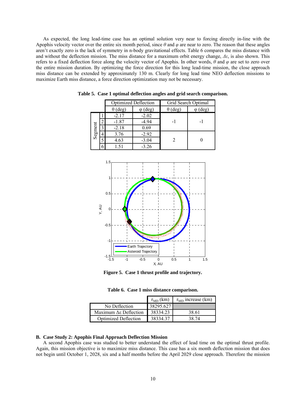As expected, the long lead-time case has an optimal solution very near to forcing directly in-line with the Apophis velocity vector over the entire six month period, since *θ* and *φ* are near to zero. The reason that these angles aren't exactly zero is the lack of symmetry in n-body gravitational effects. [Table 6](#page-10-2) compares the miss distance with and without the deflection mission. The miss distance for a maximum orbit energy change, *∆ε*, is also shown. This refers to a fixed deflection force along the velocity vector of Apophis. In other words, *θ* and *φ* are set to zero over the entire mission duration. By optimizing the force direction for this long lead-time mission, the close approach miss distance can be extended by approximately 130 m. Clearly for long lead time NEO deflection missions to maximize Earth miss distance, a force direction optimization may not be necessary.

|         | <b>Optimized Deflection</b> |                |                | Grid Search Optimal |
|---------|-----------------------------|----------------|----------------|---------------------|
|         | $(\text{deg})$              | $(\text{deg})$ | $\theta$ (deg) | $(\text{deg})$      |
|         | $-2.17$                     | $-2.02$        |                |                     |
|         | $-1.87$                     | $-4.94$        | -1             | - 1                 |
| Segment | $-2.18$                     | 0.69           |                |                     |
|         | 3.76                        | $-2.92$        |                |                     |
|         | 4.63                        | $-3.04$        |                |                     |
|         | 1.51                        | $-3.26$        |                |                     |

<span id="page-10-0"></span>**Table 5. Case 1 optimal deflection angles and grid search comparison.**

<span id="page-10-1"></span>

**Figure 5. Case 1 thrust profile and trajectory.** 

<span id="page-10-2"></span>**Table 6. Case 1 miss distance comparison.** 

|                                         | $r_{MD}$ (km) | $r_{MD}$ increase (km) |
|-----------------------------------------|---------------|------------------------|
| No Deflection                           | 38295.627     |                        |
| Maximum $\Delta \varepsilon$ Deflection | 38334.23      | 38.61                  |
| <b>Optimized Deflection</b>             | 38334.37      | 38 74                  |

#### **B. Case Study 2: Apophis Final Approach Deflection Mission**

A second Apophis case was studied to better understand the effect of lead time on the optimal thrust profile. Again, this mission objective is to maximize miss distance. This case has a six month deflection mission that does not begin until October 1, 2028, six and a half months before the April 2029 close approach. Therefore the mission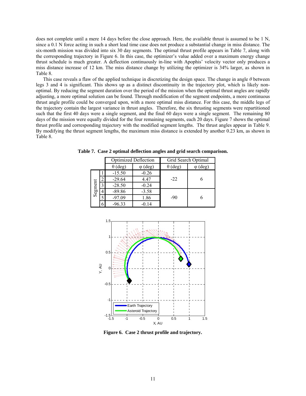does not complete until a mere 14 days before the close approach. Here, the available thrust is assumed to be 1 N, since a 0.1 N force acting in such a short lead time case does not produce a substantial change in miss distance. The six-month mission was divided into six 30 day segments. The optimal thrust profile appears in [Table 7,](#page-11-0) along with the corresponding trajectory in [Figure 6.](#page-11-1) In this case, the optimizer's value added over a maximum energy change thrust schedule is much greater. A deflection continuously in-line with Apophis' velocity vector only produces a miss distance increase of 12 km. The miss distance change by utilizing the optimizer is 34% larger, as shown in [Table 8.](#page-12-0)

This case reveals a flaw of the applied technique in discretizing the design space. The change in angle *θ* between legs 3 and 4 is significant. This shows up as a distinct discontinuity in the trajectory plot, which is likely nonoptimal. By reducing the segment duration over the period of the mission when the optimal thrust angles are rapidly adjusting, a more optimal solution can be found. Through modification of the segment endpoints, a more continuous thrust angle profile could be converged upon, with a more optimal miss distance. For this case, the middle legs of the trajectory contain the largest variance in thrust angles. Therefore, the six thrusting segments were repartitioned such that the first 40 days were a single segment, and the final 60 days were a single segment. The remaining 80 days of the mission were equally divided for the four remaining segments, each 20 days. [Figure 7](#page-12-1) shows the optimal thrust profile and corresponding trajectory with the modified segment lengths. The thrust angles appear in [Table 9.](#page-12-2) By modifying the thrust segment lengths, the maximum miss distance is extended by another 0.23 km, as shown in [Table 8.](#page-12-0)

|         |   | <b>Optimized Deflection</b> |                |                | Grid Search Optimal        |
|---------|---|-----------------------------|----------------|----------------|----------------------------|
|         |   | $\theta$ (deg)              | $(\text{deg})$ | $\theta$ (deg) | $(\text{deg})$<br>$\omega$ |
|         |   | $-15.50$                    | $-0.26$        |                |                            |
|         |   | $-29.64$                    | 4.47           | $-22$          |                            |
| Segment | ∍ | $-28.50$                    | $-0.24$        |                |                            |
|         |   | $-89.86$                    | $-3.58$        |                |                            |
|         |   | $-97.09$                    | 1.86           | $-90$          |                            |
|         | 6 | $-96.33$                    | $-0.14$        |                |                            |

<span id="page-11-0"></span>**Table 7. Case 2 optimal deflection angles and grid search comparison.**

<span id="page-11-1"></span>

**Figure 6. Case 2 thrust profile and trajectory.**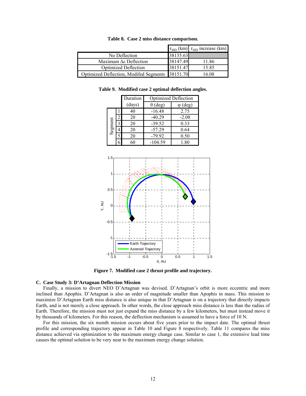|                                         |          | $r_{MD}$ (km) $r_{MD}$ increase (km) |
|-----------------------------------------|----------|--------------------------------------|
| No Deflection                           | 38135.63 |                                      |
| Maximum $\Delta \varepsilon$ Deflection | 38147.49 | 11.86                                |
| <b>Optimized Deflection</b>             | 38151.47 | 15.85                                |
| Optimized Deflection, Modifed Segments  | 38151.70 | 16.08                                |

<span id="page-12-0"></span>**Table 8. Case 2 miss distance comparison.** 

<span id="page-12-2"></span>

<span id="page-12-1"></span>

**Figure 7. Modified case 2 thrust profile and trajectory.**

## **C. Case Study 3: D'Artagnan Deflection Mission**

Finally, a mission to divert NEO D'Artagnan was devised. D'Artagnan's orbit is more eccentric and more inclined than Apophis. D'Artagnan is also an order of magnitude smaller than Apophis in mass. This mission to maximize D'Artagnan Earth miss distance is also unique in that D'Artagnan is on a trajectory that directly impacts Earth, and is not merely a close approach. In other words, the close approach miss distance is less than the radius of Earth. Therefore, the mission must not just expand the miss distance by a few kilometers, but must instead move it by thousands of kilometers. For this reason, the deflection mechanism is assumed to have a force of 10 N.

For this mission, the six month mission occurs about five years prior to the impact date. The optimal thrust profile and corresponding trajectory appear in [Table 10](#page-13-0) and [Figure 8](#page-13-1) respectively. [Table 11](#page-13-2) compares the miss distance achieved via optimization to the maximum energy change case. Similar to case 1, the extensive lead time causes the optimal solution to be very near to the maximum energy change solution.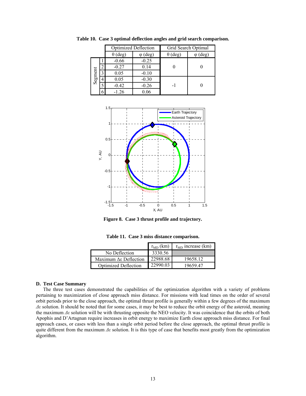|         |   | <b>Optimized Deflection</b> |                |                | Grid Search Optimal |
|---------|---|-----------------------------|----------------|----------------|---------------------|
|         |   | $\theta$ (deg)              | $(\text{deg})$ | $\theta$ (deg) | $(\text{deg})$      |
|         |   | $-0.66$                     | $-0.25$        |                |                     |
|         |   | $-0.27$                     | 0.14           |                |                     |
|         |   | 0.05                        | $-0.10$        |                |                     |
| Segment | 4 | 0.05                        | $-0.30$        |                |                     |
|         |   | $-0.42$                     | $-0.26$        | -1             |                     |
|         | 6 | $-1.26$                     | 0.06           |                |                     |

<span id="page-13-0"></span>**Table 10. Case 3 optimal deflection angles and grid search comparison.** 

<span id="page-13-1"></span>

**Figure 8. Case 3 thrust profile and trajectory.** 

|                                         | $r_{MD}$ (km) | $r_{MD}$ increase (km) |
|-----------------------------------------|---------------|------------------------|
| No Deflection                           | 3330.56       |                        |
| Maximum $\Delta \varepsilon$ Deflection | 22988.68      | 19658.12               |
| <b>Optimized Deflection</b>             | 22990.03      | 1965947                |

<span id="page-13-2"></span>**Table 11. Case 3 miss distance comparison.** 

#### **D. Test Case Summary**

The three test cases demonstrated the capabilities of the optimization algorithm with a variety of problems pertaining to maximization of close approach miss distance. For missions with lead times on the order of several orbit periods prior to the close approach, the optimal thrust profile is generally within a few degrees of the maximum *∆ε* solution. It should be noted that for some cases, it may be best to reduce the orbit energy of the asteroid, meaning the maximum *∆ε* solution will be with thrusting opposite the NEO velocity. It was coincidence that the orbits of both Apophis and D'Artagnan require increases in orbit energy to maximize Earth close approach miss distance. For final approach cases, or cases with less than a single orbit period before the close approach, the optimal thrust profile is quite different from the maximum *∆ε* solution. It is this type of case that benefits most greatly from the optimization algorithm.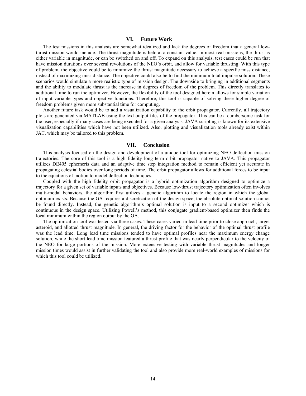## **VI. Future Work**

The test missions in this analysis are somewhat idealized and lack the degrees of freedom that a general lowthrust mission would include. The thrust magnitude is held at a constant value. In most real missions, the thrust is either variable in magnitude, or can be switched on and off. To expand on this analysis, test cases could be run that have mission durations over several revolutions of the NEO's orbit, and allow for variable thrusting. With this type of problem, the objective could be to minimize the thrust magnitude necessary to achieve a specific miss distance, instead of maximizing miss distance. The objective could also be to find the minimum total impulse solution. These scenarios would simulate a more realistic type of mission design. The downside to bringing in additional segments and the ability to modulate thrust is the increase in degrees of freedom of the problem. This directly translates to additional time to run the optimizer. However, the flexibility of the tool designed herein allows for simple variation of input variable types and objective functions. Therefore, this tool is capable of solving these higher degree of freedom problems given more substantial time for computing.

Another future task would be to add a visualization capability to the orbit propagator. Currently, all trajectory plots are generated via MATLAB using the text output files of the propagator. This can be a cumbersome task for the user, especially if many cases are being executed for a given analysis. JAVA scripting is known for its extensive visualization capabilities which have not been utilized. Also, plotting and visualization tools already exist within JAT, which may be tailored to this problem.

#### **VII. Conclusion**

This analysis focused on the design and development of a unique tool for optimizing NEO deflection mission trajectories. The core of this tool is a high fidelity long term orbit propagator native to JAVA. This propagator utilizes DE405 ephemeris data and an adaptive time step integration method to remain efficient yet accurate in propagating celestial bodies over long periods of time. The orbit propagator allows for additional forces to be input to the equations of motion to model deflection techniques.

Coupled with the high fidelity orbit propagator is a hybrid optimization algorithm designed to optimize a trajectory for a given set of variable inputs and objectives. Because low-thrust trajectory optimization often involves multi-modal behaviors, the algorithm first utilizes a genetic algorithm to locate the region in which the global optimum exists. Because the GA requires a discretization of the design space, the absolute optimal solution cannot be found directly. Instead, the genetic algorithm's optimal solution is input to a second optimizer which is continuous in the design space. Utilizing Powell's method, this conjugate gradient-based optimizer then finds the local minimum within the region output by the GA.

The optimization tool was tested via three cases. These cases varied in lead time prior to close approach, target asteroid, and allotted thrust magnitude. In general, the driving factor for the behavior of the optimal thrust profile was the lead time. Long lead time missions tended to have optimal profiles near the maximum energy change solution, while the short lead time mission featured a thrust profile that was nearly perpendicular to the velocity of the NEO for large portions of the mission. More extensive testing with variable thrust magnitudes and longer mission times would assist in further validating the tool and also provide more real-world examples of missions for which this tool could be utilized.